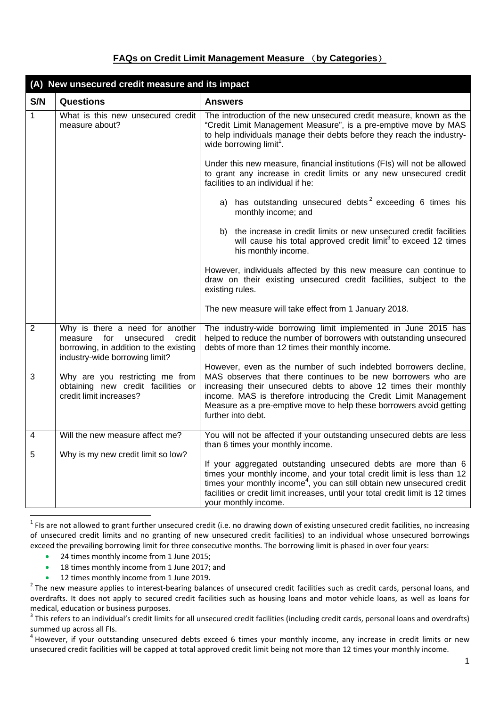## **FAQs on Credit Limit Management Measure** (**by Categories**)

| (A) New unsecured credit measure and its impact |                                                                                                                                                      |                                                                                                                                                                                                                                                                                                                                                                       |
|-------------------------------------------------|------------------------------------------------------------------------------------------------------------------------------------------------------|-----------------------------------------------------------------------------------------------------------------------------------------------------------------------------------------------------------------------------------------------------------------------------------------------------------------------------------------------------------------------|
| S/N                                             | Questions                                                                                                                                            | <b>Answers</b>                                                                                                                                                                                                                                                                                                                                                        |
| 1                                               | What is this new unsecured credit<br>measure about?                                                                                                  | The introduction of the new unsecured credit measure, known as the<br>"Credit Limit Management Measure", is a pre-emptive move by MAS<br>to help individuals manage their debts before they reach the industry-<br>wide borrowing limit <sup>1</sup> .                                                                                                                |
|                                                 |                                                                                                                                                      | Under this new measure, financial institutions (FIs) will not be allowed<br>to grant any increase in credit limits or any new unsecured credit<br>facilities to an individual if he:                                                                                                                                                                                  |
|                                                 |                                                                                                                                                      | a) has outstanding unsecured debts <sup>2</sup> exceeding 6 times his<br>monthly income; and                                                                                                                                                                                                                                                                          |
|                                                 |                                                                                                                                                      | b) the increase in credit limits or new unsecured credit facilities<br>will cause his total approved credit limit <sup>3</sup> to exceed 12 times<br>his monthly income.                                                                                                                                                                                              |
|                                                 |                                                                                                                                                      | However, individuals affected by this new measure can continue to<br>draw on their existing unsecured credit facilities, subject to the<br>existing rules.                                                                                                                                                                                                            |
|                                                 |                                                                                                                                                      | The new measure will take effect from 1 January 2018.                                                                                                                                                                                                                                                                                                                 |
| $\overline{2}$                                  | Why is there a need for another<br>unsecured<br>measure<br>for<br>credit<br>borrowing, in addition to the existing<br>industry-wide borrowing limit? | The industry-wide borrowing limit implemented in June 2015 has<br>helped to reduce the number of borrowers with outstanding unsecured<br>debts of more than 12 times their monthly income.                                                                                                                                                                            |
| 3                                               | Why are you restricting me from<br>obtaining new credit facilities or<br>credit limit increases?                                                     | However, even as the number of such indebted borrowers decline,<br>MAS observes that there continues to be new borrowers who are<br>increasing their unsecured debts to above 12 times their monthly<br>income. MAS is therefore introducing the Credit Limit Management<br>Measure as a pre-emptive move to help these borrowers avoid getting<br>further into debt. |
| $\overline{\mathbf{4}}$                         | Will the new measure affect me?                                                                                                                      | You will not be affected if your outstanding unsecured debts are less<br>than 6 times your monthly income.                                                                                                                                                                                                                                                            |
| 5                                               | Why is my new credit limit so low?                                                                                                                   | If your aggregated outstanding unsecured debts are more than 6<br>times your monthly income, and your total credit limit is less than 12<br>times your monthly income <sup>4</sup> , you can still obtain new unsecured credit<br>facilities or credit limit increases, until your total credit limit is 12 times<br>your monthly income.                             |

 $1$  FIs are not allowed to grant further unsecured credit (i.e. no drawing down of existing unsecured credit facilities, no increasing of unsecured credit limits and no granting of new unsecured credit facilities) to an individual whose unsecured borrowings exceed the prevailing borrowing limit for three consecutive months. The borrowing limit is phased in over four years:

• 24 times monthly income from 1 June 2015;

- 18 times monthly income from 1 June 2017; and
- 

• 12 times monthly income from 1 June 2019.<br><sup>2</sup> The new measure applies to interest-bearing balances of unsecured credit facilities such as credit cards, personal loans, and overdrafts. It does not apply to secured credit facilities such as housing loans and motor vehicle loans, as well as loans for

medical, education or business purposes.<br><sup>3</sup> This refers to an individual's credit limits for all unsecured credit facilities (including credit cards, personal loans and overdrafts)

summed up across all FIs.<br><sup>4</sup> However, if your outstanding unsecured debts exceed 6 times your monthly income, any increase in credit limits or new unsecured credit facilities will be capped at total approved credit limit being not more than 12 times your monthly income.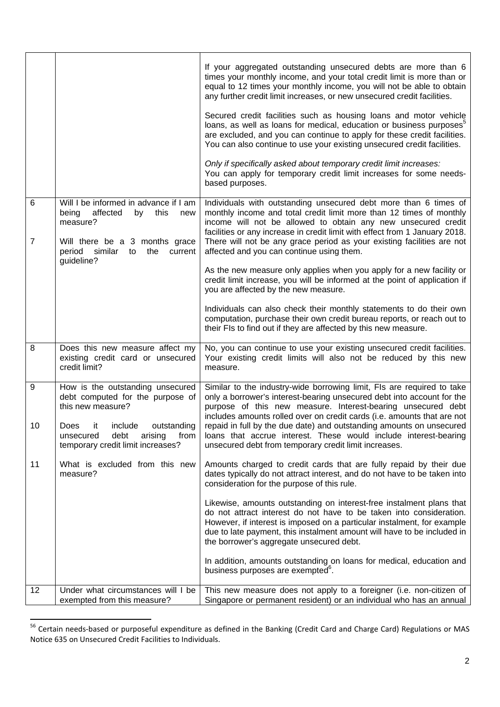|                     |                                                                                                                                                                                                                | If your aggregated outstanding unsecured debts are more than 6<br>times your monthly income, and your total credit limit is more than or<br>equal to 12 times your monthly income, you will not be able to obtain<br>any further credit limit increases, or new unsecured credit facilities.<br>Secured credit facilities such as housing loans and motor vehicle<br>loans, as well as loans for medical, education or business purposes <sup>5</sup><br>are excluded, and you can continue to apply for these credit facilities.<br>You can also continue to use your existing unsecured credit facilities. |
|---------------------|----------------------------------------------------------------------------------------------------------------------------------------------------------------------------------------------------------------|--------------------------------------------------------------------------------------------------------------------------------------------------------------------------------------------------------------------------------------------------------------------------------------------------------------------------------------------------------------------------------------------------------------------------------------------------------------------------------------------------------------------------------------------------------------------------------------------------------------|
|                     |                                                                                                                                                                                                                | Only if specifically asked about temporary credit limit increases:<br>You can apply for temporary credit limit increases for some needs-<br>based purposes.                                                                                                                                                                                                                                                                                                                                                                                                                                                  |
| 6<br>$\overline{7}$ | Will I be informed in advance if I am<br>affected<br>being<br>by<br>this<br>new<br>measure?<br>Will there be a 3 months grace<br>period similar<br>the<br>to<br>current                                        | Individuals with outstanding unsecured debt more than 6 times of<br>monthly income and total credit limit more than 12 times of monthly<br>income will not be allowed to obtain any new unsecured credit<br>facilities or any increase in credit limit with effect from 1 January 2018.<br>There will not be any grace period as your existing facilities are not<br>affected and you can continue using them.                                                                                                                                                                                               |
|                     | guideline?                                                                                                                                                                                                     | As the new measure only applies when you apply for a new facility or<br>credit limit increase, you will be informed at the point of application if<br>you are affected by the new measure.                                                                                                                                                                                                                                                                                                                                                                                                                   |
|                     |                                                                                                                                                                                                                | Individuals can also check their monthly statements to do their own<br>computation, purchase their own credit bureau reports, or reach out to<br>their FIs to find out if they are affected by this new measure.                                                                                                                                                                                                                                                                                                                                                                                             |
| 8                   | Does this new measure affect my<br>existing credit card or unsecured<br>credit limit?                                                                                                                          | No, you can continue to use your existing unsecured credit facilities.<br>Your existing credit limits will also not be reduced by this new<br>measure.                                                                                                                                                                                                                                                                                                                                                                                                                                                       |
| 9<br>10             | How is the outstanding unsecured<br>debt computed for the purpose of<br>this new measure?<br>include<br>outstanding<br>it<br>Does<br>debt<br>from<br>unsecured<br>arising<br>temporary credit limit increases? | Similar to the industry-wide borrowing limit, FIs are required to take<br>only a borrower's interest-bearing unsecured debt into account for the<br>purpose of this new measure. Interest-bearing unsecured debt<br>includes amounts rolled over on credit cards (i.e. amounts that are not<br>repaid in full by the due date) and outstanding amounts on unsecured<br>loans that accrue interest. These would include interest-bearing<br>unsecured debt from temporary credit limit increases.                                                                                                             |
| 11                  | What is excluded from this new<br>measure?                                                                                                                                                                     | Amounts charged to credit cards that are fully repaid by their due<br>dates typically do not attract interest, and do not have to be taken into<br>consideration for the purpose of this rule.                                                                                                                                                                                                                                                                                                                                                                                                               |
|                     |                                                                                                                                                                                                                | Likewise, amounts outstanding on interest-free instalment plans that<br>do not attract interest do not have to be taken into consideration.<br>However, if interest is imposed on a particular instalment, for example<br>due to late payment, this instalment amount will have to be included in<br>the borrower's aggregate unsecured debt.                                                                                                                                                                                                                                                                |
|                     |                                                                                                                                                                                                                | In addition, amounts outstanding on loans for medical, education and<br>business purposes are exempted <sup>6</sup> .                                                                                                                                                                                                                                                                                                                                                                                                                                                                                        |
| 12                  | Under what circumstances will I be<br>exempted from this measure?                                                                                                                                              | This new measure does not apply to a foreigner (i.e. non-citizen of<br>Singapore or permanent resident) or an individual who has an annual                                                                                                                                                                                                                                                                                                                                                                                                                                                                   |

<sup>&</sup>lt;sup>56</sup> Certain needs-based or purposeful expenditure as defined in the Banking (Credit Card and Charge Card) Regulations or MAS Notice 635 on Unsecured Credit Facilities to Individuals.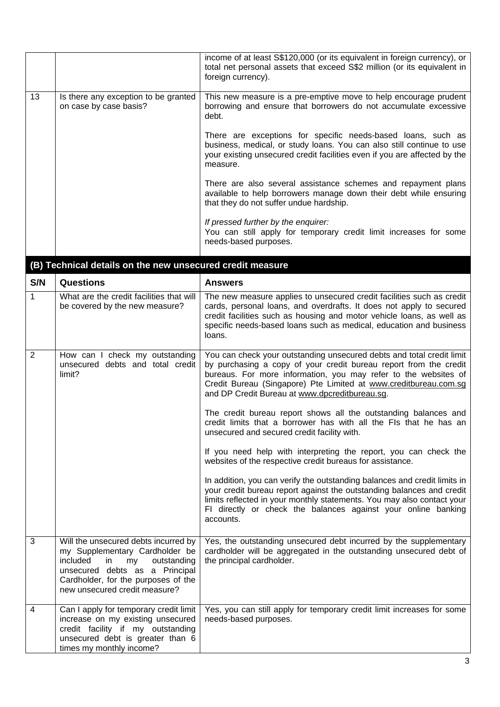|                |                                                                                                                                                                                                                         | income of at least S\$120,000 (or its equivalent in foreign currency), or<br>total net personal assets that exceed S\$2 million (or its equivalent in<br>foreign currency).                                                                                                                                                         |
|----------------|-------------------------------------------------------------------------------------------------------------------------------------------------------------------------------------------------------------------------|-------------------------------------------------------------------------------------------------------------------------------------------------------------------------------------------------------------------------------------------------------------------------------------------------------------------------------------|
| 13             | Is there any exception to be granted<br>on case by case basis?                                                                                                                                                          | This new measure is a pre-emptive move to help encourage prudent<br>borrowing and ensure that borrowers do not accumulate excessive<br>debt.                                                                                                                                                                                        |
|                |                                                                                                                                                                                                                         | There are exceptions for specific needs-based loans, such as<br>business, medical, or study loans. You can also still continue to use<br>your existing unsecured credit facilities even if you are affected by the<br>measure.                                                                                                      |
|                |                                                                                                                                                                                                                         | There are also several assistance schemes and repayment plans<br>available to help borrowers manage down their debt while ensuring<br>that they do not suffer undue hardship.                                                                                                                                                       |
|                |                                                                                                                                                                                                                         | If pressed further by the enquirer:<br>You can still apply for temporary credit limit increases for some<br>needs-based purposes.                                                                                                                                                                                                   |
|                | (B) Technical details on the new unsecured credit measure                                                                                                                                                               |                                                                                                                                                                                                                                                                                                                                     |
| S/N            | <b>Questions</b>                                                                                                                                                                                                        | <b>Answers</b>                                                                                                                                                                                                                                                                                                                      |
| 1              | What are the credit facilities that will<br>be covered by the new measure?                                                                                                                                              | The new measure applies to unsecured credit facilities such as credit<br>cards, personal loans, and overdrafts. It does not apply to secured<br>credit facilities such as housing and motor vehicle loans, as well as<br>specific needs-based loans such as medical, education and business<br>loans.                               |
| $\overline{2}$ | How can I check my outstanding<br>unsecured debts and total credit<br>limit?                                                                                                                                            | You can check your outstanding unsecured debts and total credit limit<br>by purchasing a copy of your credit bureau report from the credit<br>bureaus. For more information, you may refer to the websites of<br>Credit Bureau (Singapore) Pte Limited at www.creditbureau.com.sg<br>and DP Credit Bureau at www.dpcreditbureau.sg. |
|                |                                                                                                                                                                                                                         | The credit bureau report shows all the outstanding balances and<br>credit limits that a borrower has with all the FIs that he has an<br>unsecured and secured credit facility with.                                                                                                                                                 |
|                |                                                                                                                                                                                                                         | If you need help with interpreting the report, you can check the<br>websites of the respective credit bureaus for assistance.                                                                                                                                                                                                       |
|                |                                                                                                                                                                                                                         | In addition, you can verify the outstanding balances and credit limits in<br>your credit bureau report against the outstanding balances and credit<br>limits reflected in your monthly statements. You may also contact your<br>FI directly or check the balances against your online banking<br>accounts.                          |
| 3              | Will the unsecured debts incurred by<br>my Supplementary Cardholder be<br>included<br>in<br>outstanding<br>my<br>unsecured debts as a Principal<br>Cardholder, for the purposes of the<br>new unsecured credit measure? | Yes, the outstanding unsecured debt incurred by the supplementary<br>cardholder will be aggregated in the outstanding unsecured debt of<br>the principal cardholder.                                                                                                                                                                |
| $\overline{4}$ | Can I apply for temporary credit limit<br>increase on my existing unsecured<br>credit facility if my outstanding<br>unsecured debt is greater than 6<br>times my monthly income?                                        | Yes, you can still apply for temporary credit limit increases for some<br>needs-based purposes.                                                                                                                                                                                                                                     |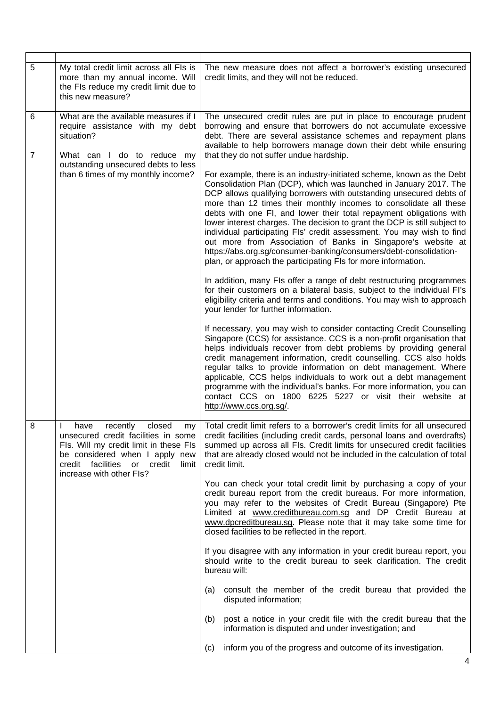| 5                   | My total credit limit across all FIs is<br>more than my annual income. Will<br>the FIs reduce my credit limit due to<br>this new measure?                                                                                    | The new measure does not affect a borrower's existing unsecured<br>credit limits, and they will not be reduced.                                                                                                                                                                                                                                                                                                                                                                                                                                                                                                                                                                                                           |
|---------------------|------------------------------------------------------------------------------------------------------------------------------------------------------------------------------------------------------------------------------|---------------------------------------------------------------------------------------------------------------------------------------------------------------------------------------------------------------------------------------------------------------------------------------------------------------------------------------------------------------------------------------------------------------------------------------------------------------------------------------------------------------------------------------------------------------------------------------------------------------------------------------------------------------------------------------------------------------------------|
| 6<br>$\overline{7}$ | What are the available measures if I<br>require assistance with my debt<br>situation?<br>What can I do to reduce my                                                                                                          | The unsecured credit rules are put in place to encourage prudent<br>borrowing and ensure that borrowers do not accumulate excessive<br>debt. There are several assistance schemes and repayment plans<br>available to help borrowers manage down their debt while ensuring<br>that they do not suffer undue hardship.                                                                                                                                                                                                                                                                                                                                                                                                     |
|                     | outstanding unsecured debts to less<br>than 6 times of my monthly income?                                                                                                                                                    | For example, there is an industry-initiated scheme, known as the Debt<br>Consolidation Plan (DCP), which was launched in January 2017. The<br>DCP allows qualifying borrowers with outstanding unsecured debts of<br>more than 12 times their monthly incomes to consolidate all these<br>debts with one FI, and lower their total repayment obligations with<br>lower interest charges. The decision to grant the DCP is still subject to<br>individual participating FIs' credit assessment. You may wish to find<br>out more from Association of Banks in Singapore's website at<br>https://abs.org.sg/consumer-banking/consumers/debt-consolidation-<br>plan, or approach the participating FIs for more information. |
|                     |                                                                                                                                                                                                                              | In addition, many FIs offer a range of debt restructuring programmes<br>for their customers on a bilateral basis, subject to the individual FI's<br>eligibility criteria and terms and conditions. You may wish to approach<br>your lender for further information.                                                                                                                                                                                                                                                                                                                                                                                                                                                       |
|                     |                                                                                                                                                                                                                              | If necessary, you may wish to consider contacting Credit Counselling<br>Singapore (CCS) for assistance. CCS is a non-profit organisation that<br>helps individuals recover from debt problems by providing general<br>credit management information, credit counselling. CCS also holds<br>regular talks to provide information on debt management. Where<br>applicable, CCS helps individuals to work out a debt management<br>programme with the individual's banks. For more information, you can<br>contact CCS on 1800 6225 5227 or visit their website at<br>http://www.ccs.org.sg/.                                                                                                                                |
| 8                   | recently<br>closed<br>have<br>my  <br>unsecured credit facilities in some<br>Fls. Will my credit limit in these Fls<br>be considered when I apply new<br>credit facilities<br>or credit<br>limit<br>increase with other FIs? | Total credit limit refers to a borrower's credit limits for all unsecured<br>credit facilities (including credit cards, personal loans and overdrafts)<br>summed up across all FIs. Credit limits for unsecured credit facilities<br>that are already closed would not be included in the calculation of total<br>credit limit.                                                                                                                                                                                                                                                                                                                                                                                           |
|                     |                                                                                                                                                                                                                              | You can check your total credit limit by purchasing a copy of your<br>credit bureau report from the credit bureaus. For more information,<br>you may refer to the websites of Credit Bureau (Singapore) Pte<br>Limited at www.creditbureau.com.sg and DP Credit Bureau at<br>www.dpcreditbureau.sg. Please note that it may take some time for<br>closed facilities to be reflected in the report.                                                                                                                                                                                                                                                                                                                        |
|                     |                                                                                                                                                                                                                              | If you disagree with any information in your credit bureau report, you<br>should write to the credit bureau to seek clarification. The credit<br>bureau will:                                                                                                                                                                                                                                                                                                                                                                                                                                                                                                                                                             |
|                     |                                                                                                                                                                                                                              | consult the member of the credit bureau that provided the<br>(a)<br>disputed information;                                                                                                                                                                                                                                                                                                                                                                                                                                                                                                                                                                                                                                 |
|                     |                                                                                                                                                                                                                              | post a notice in your credit file with the credit bureau that the<br>(b)<br>information is disputed and under investigation; and                                                                                                                                                                                                                                                                                                                                                                                                                                                                                                                                                                                          |
|                     |                                                                                                                                                                                                                              | inform you of the progress and outcome of its investigation.<br>(c)                                                                                                                                                                                                                                                                                                                                                                                                                                                                                                                                                                                                                                                       |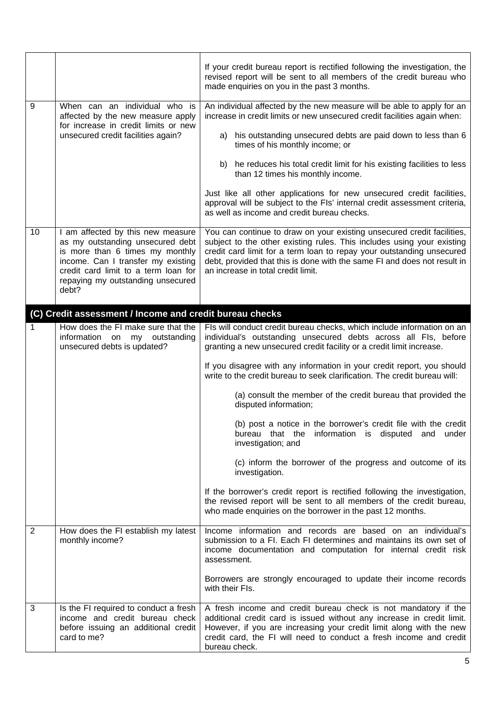|    |                                                                                                                                                                                                                                      | If your credit bureau report is rectified following the investigation, the<br>revised report will be sent to all members of the credit bureau who<br>made enquiries on you in the past 3 months.                                                                                                                                            |
|----|--------------------------------------------------------------------------------------------------------------------------------------------------------------------------------------------------------------------------------------|---------------------------------------------------------------------------------------------------------------------------------------------------------------------------------------------------------------------------------------------------------------------------------------------------------------------------------------------|
| 9  | When can an individual who is<br>affected by the new measure apply<br>for increase in credit limits or new                                                                                                                           | An individual affected by the new measure will be able to apply for an<br>increase in credit limits or new unsecured credit facilities again when:                                                                                                                                                                                          |
|    | unsecured credit facilities again?                                                                                                                                                                                                   | a) his outstanding unsecured debts are paid down to less than 6<br>times of his monthly income; or                                                                                                                                                                                                                                          |
|    |                                                                                                                                                                                                                                      | b) he reduces his total credit limit for his existing facilities to less<br>than 12 times his monthly income.                                                                                                                                                                                                                               |
|    |                                                                                                                                                                                                                                      | Just like all other applications for new unsecured credit facilities,<br>approval will be subject to the FIs' internal credit assessment criteria,<br>as well as income and credit bureau checks.                                                                                                                                           |
| 10 | I am affected by this new measure<br>as my outstanding unsecured debt<br>is more than 6 times my monthly<br>income. Can I transfer my existing<br>credit card limit to a term loan for<br>repaying my outstanding unsecured<br>debt? | You can continue to draw on your existing unsecured credit facilities,<br>subject to the other existing rules. This includes using your existing<br>credit card limit for a term loan to repay your outstanding unsecured<br>debt, provided that this is done with the same FI and does not result in<br>an increase in total credit limit. |
|    | (C) Credit assessment / Income and credit bureau checks                                                                                                                                                                              |                                                                                                                                                                                                                                                                                                                                             |
| 1  | How does the FI make sure that the<br>information on my outstanding<br>unsecured debts is updated?                                                                                                                                   | FIs will conduct credit bureau checks, which include information on an<br>individual's outstanding unsecured debts across all FIs, before<br>granting a new unsecured credit facility or a credit limit increase.                                                                                                                           |
|    |                                                                                                                                                                                                                                      | If you disagree with any information in your credit report, you should<br>write to the credit bureau to seek clarification. The credit bureau will:                                                                                                                                                                                         |
|    |                                                                                                                                                                                                                                      | (a) consult the member of the credit bureau that provided the<br>disputed information;                                                                                                                                                                                                                                                      |
|    |                                                                                                                                                                                                                                      | (b) post a notice in the borrower's credit file with the credit<br>bureau that the information is disputed and<br>under<br>investigation; and                                                                                                                                                                                               |
|    |                                                                                                                                                                                                                                      | (c) inform the borrower of the progress and outcome of its<br>investigation.                                                                                                                                                                                                                                                                |
|    |                                                                                                                                                                                                                                      | If the borrower's credit report is rectified following the investigation,<br>the revised report will be sent to all members of the credit bureau,<br>who made enquiries on the borrower in the past 12 months.                                                                                                                              |
| 2  | How does the FI establish my latest<br>monthly income?                                                                                                                                                                               | Income information and records are based on an individual's<br>submission to a FI. Each FI determines and maintains its own set of<br>income documentation and computation for internal credit risk<br>assessment.                                                                                                                          |
|    |                                                                                                                                                                                                                                      | Borrowers are strongly encouraged to update their income records<br>with their Fls.                                                                                                                                                                                                                                                         |
| 3  | Is the FI required to conduct a fresh<br>income and credit bureau check<br>before issuing an additional credit<br>card to me?                                                                                                        | A fresh income and credit bureau check is not mandatory if the<br>additional credit card is issued without any increase in credit limit.<br>However, if you are increasing your credit limit along with the new<br>credit card, the FI will need to conduct a fresh income and credit<br>bureau check.                                      |